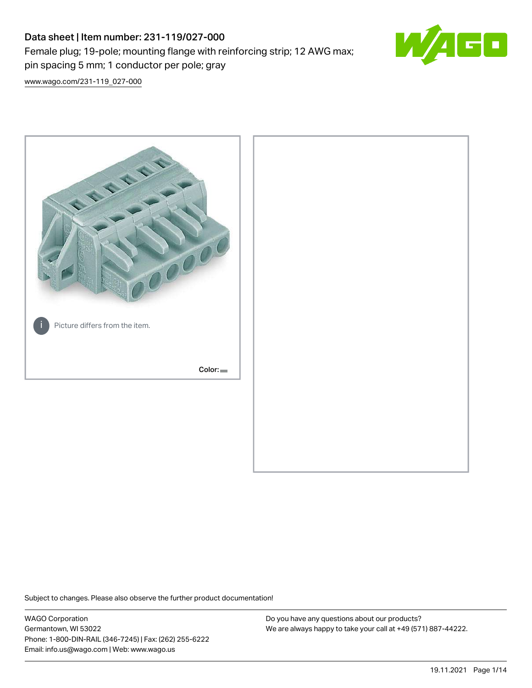# Data sheet | Item number: 231-119/027-000 Female plug; 19-pole; mounting flange with reinforcing strip; 12 AWG max; pin spacing 5 mm; 1 conductor per pole; gray



[www.wago.com/231-119\\_027-000](http://www.wago.com/231-119_027-000)



Subject to changes. Please also observe the further product documentation!

WAGO Corporation Germantown, WI 53022 Phone: 1-800-DIN-RAIL (346-7245) | Fax: (262) 255-6222 Email: info.us@wago.com | Web: www.wago.us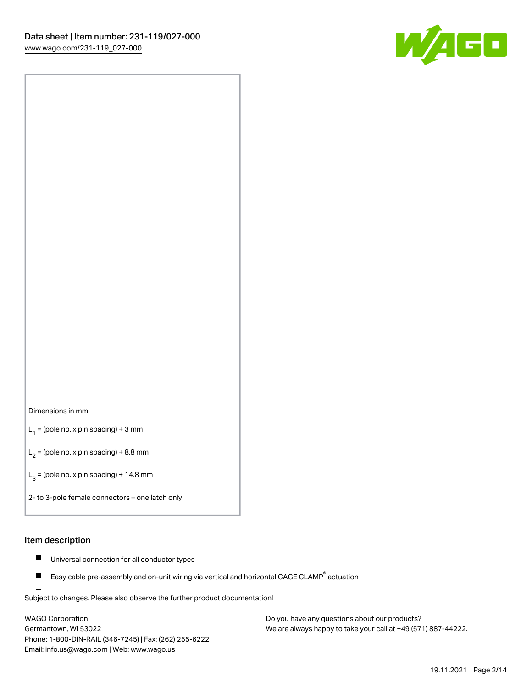

### Dimensions in mm

 $L_1$  = (pole no. x pin spacing) + 3 mm

 $L_2$  = (pole no. x pin spacing) + 8.8 mm

 $L_3$  = (pole no. x pin spacing) + 14.8 mm

2- to 3-pole female connectors – one latch only

### Item description

- Universal connection for all conductor types  $\blacksquare$
- Easy cable pre-assembly and on-unit wiring via vertical and horizontal CAGE CLAMP<sup>®</sup> actuation П

.<br>Subject to changes. Please also observe the further product documentation!

WAGO Corporation Germantown, WI 53022 Phone: 1-800-DIN-RAIL (346-7245) | Fax: (262) 255-6222 Email: info.us@wago.com | Web: www.wago.us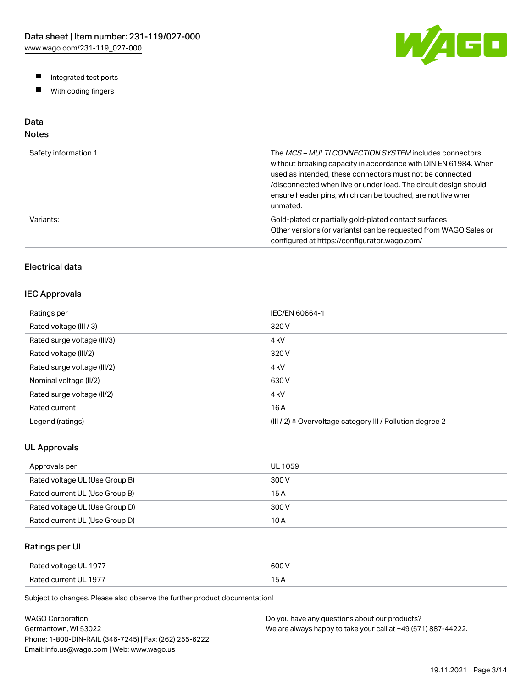W/AGO

- Integrated test ports
- $\blacksquare$ With coding fingers

# Data

# Notes

| Safety information 1 | The MCS-MULTI CONNECTION SYSTEM includes connectors<br>without breaking capacity in accordance with DIN EN 61984. When<br>used as intended, these connectors must not be connected<br>/disconnected when live or under load. The circuit design should<br>ensure header pins, which can be touched, are not live when<br>unmated. |
|----------------------|-----------------------------------------------------------------------------------------------------------------------------------------------------------------------------------------------------------------------------------------------------------------------------------------------------------------------------------|
| Variants:            | Gold-plated or partially gold-plated contact surfaces<br>Other versions (or variants) can be requested from WAGO Sales or<br>configured at https://configurator.wago.com/                                                                                                                                                         |

# Electrical data

# IEC Approvals

| Ratings per                 | IEC/EN 60664-1                                                        |
|-----------------------------|-----------------------------------------------------------------------|
| Rated voltage (III / 3)     | 320 V                                                                 |
| Rated surge voltage (III/3) | 4 <sub>kV</sub>                                                       |
| Rated voltage (III/2)       | 320 V                                                                 |
| Rated surge voltage (III/2) | 4 <sub>k</sub> V                                                      |
| Nominal voltage (II/2)      | 630 V                                                                 |
| Rated surge voltage (II/2)  | 4 <sub>k</sub> V                                                      |
| Rated current               | 16 A                                                                  |
| Legend (ratings)            | $(III / 2)$ $\triangle$ Overvoltage category III / Pollution degree 2 |

# UL Approvals

| Approvals per                  | <b>UL 1059</b> |
|--------------------------------|----------------|
| Rated voltage UL (Use Group B) | 300 V          |
| Rated current UL (Use Group B) | 15 A           |
| Rated voltage UL (Use Group D) | 300 V          |
| Rated current UL (Use Group D) | 10 A           |

# Ratings per UL

| Rated voltage UL 1977 | 600 V  |
|-----------------------|--------|
| Rated current UL 1977 | $\sim$ |

Subject to changes. Please also observe the further product documentation!

| WAGO Corporation                                       | Do you have any questions about our products?                 |
|--------------------------------------------------------|---------------------------------------------------------------|
| Germantown. WI 53022                                   | We are always happy to take your call at +49 (571) 887-44222. |
| Phone: 1-800-DIN-RAIL (346-7245)   Fax: (262) 255-6222 |                                                               |
| Email: info.us@wago.com   Web: www.wago.us             |                                                               |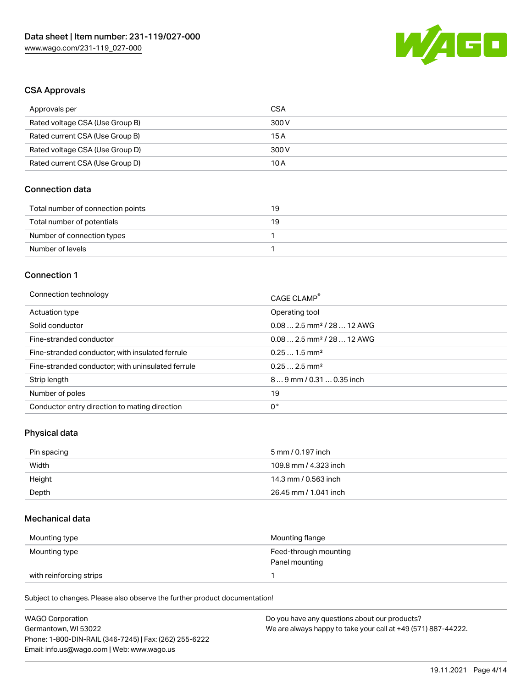

### CSA Approvals

| Approvals per                   | CSA   |
|---------------------------------|-------|
| Rated voltage CSA (Use Group B) | 300 V |
| Rated current CSA (Use Group B) | 15 A  |
| Rated voltage CSA (Use Group D) | 300 V |
| Rated current CSA (Use Group D) | 10 A  |

# Connection data

| Total number of connection points | 19 |
|-----------------------------------|----|
| Total number of potentials        | 19 |
| Number of connection types        |    |
| Number of levels                  |    |

### Connection 1

| Connection technology                             | CAGE CLAMP®                            |
|---------------------------------------------------|----------------------------------------|
| Actuation type                                    | Operating tool                         |
| Solid conductor                                   | $0.082.5$ mm <sup>2</sup> / 28  12 AWG |
| Fine-stranded conductor                           | $0.082.5$ mm <sup>2</sup> / 28  12 AWG |
| Fine-stranded conductor; with insulated ferrule   | $0.251.5$ mm <sup>2</sup>              |
| Fine-stranded conductor; with uninsulated ferrule | $0.252.5$ mm <sup>2</sup>              |
| Strip length                                      | $89$ mm / 0.31  0.35 inch              |
| Number of poles                                   | 19                                     |
| Conductor entry direction to mating direction     | 0°                                     |

# Physical data

| Pin spacing | 5 mm / 0.197 inch     |
|-------------|-----------------------|
| Width       | 109.8 mm / 4.323 inch |
| Height      | 14.3 mm / 0.563 inch  |
| Depth       | 26.45 mm / 1.041 inch |

## Mechanical data

| Mounting type           | Mounting flange                         |
|-------------------------|-----------------------------------------|
| Mounting type           | Feed-through mounting<br>Panel mounting |
| with reinforcing strips |                                         |

Subject to changes. Please also observe the further product documentation!

| <b>WAGO Corporation</b>                                | Do you have any questions about our products?                 |
|--------------------------------------------------------|---------------------------------------------------------------|
| Germantown, WI 53022                                   | We are always happy to take your call at +49 (571) 887-44222. |
| Phone: 1-800-DIN-RAIL (346-7245)   Fax: (262) 255-6222 |                                                               |
| Email: info.us@wago.com   Web: www.wago.us             |                                                               |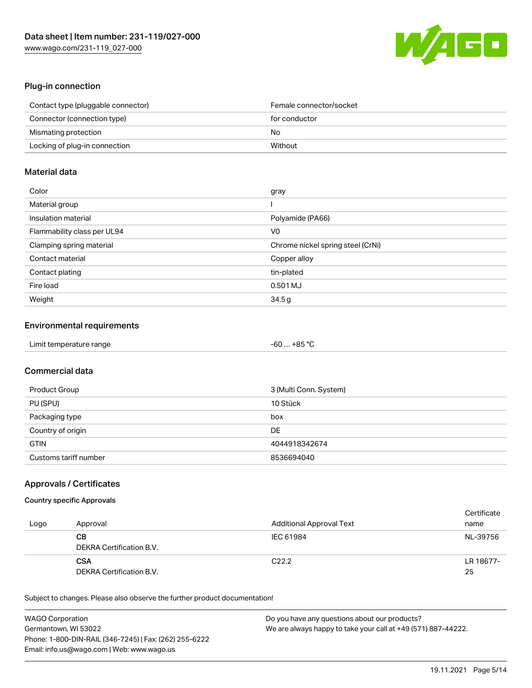

# Plug-in connection

| Contact type (pluggable connector) | Female connector/socket |
|------------------------------------|-------------------------|
| Connector (connection type)        | for conductor           |
| Mismating protection               | No                      |
| Locking of plug-in connection      | Without                 |

# Material data

| Color                       | gray                              |
|-----------------------------|-----------------------------------|
| Material group              |                                   |
| Insulation material         | Polyamide (PA66)                  |
| Flammability class per UL94 | V <sub>0</sub>                    |
| Clamping spring material    | Chrome nickel spring steel (CrNi) |
| Contact material            | Copper alloy                      |
| Contact plating             | tin-plated                        |
| Fire load                   | 0.501 MJ                          |
| Weight                      | 34.5g                             |

# Environmental requirements

| Limit temperature range | $-60+85 °C$ |
|-------------------------|-------------|
|-------------------------|-------------|

# Commercial data

| <b>Product Group</b>  | 3 (Multi Conn. System) |
|-----------------------|------------------------|
| PU (SPU)              | 10 Stück               |
| Packaging type        | box                    |
| Country of origin     | DE                     |
| <b>GTIN</b>           | 4044918342674          |
| Customs tariff number | 8536694040             |

# Approvals / Certificates

### Country specific Approvals

| Logo | Approval                               | Additional Approval Text | Certificate<br>name |
|------|----------------------------------------|--------------------------|---------------------|
|      | CВ<br>DEKRA Certification B.V.         | IEC 61984                | NL-39756            |
|      | <b>CSA</b><br>DEKRA Certification B.V. | C <sub>22.2</sub>        | LR 18677-<br>25     |

Subject to changes. Please also observe the further product documentation!

| <b>WAGO Corporation</b>                                | Do you have any questions about our products?                 |
|--------------------------------------------------------|---------------------------------------------------------------|
| Germantown, WI 53022                                   | We are always happy to take your call at +49 (571) 887-44222. |
| Phone: 1-800-DIN-RAIL (346-7245)   Fax: (262) 255-6222 |                                                               |
| Email: info.us@wago.com   Web: www.wago.us             |                                                               |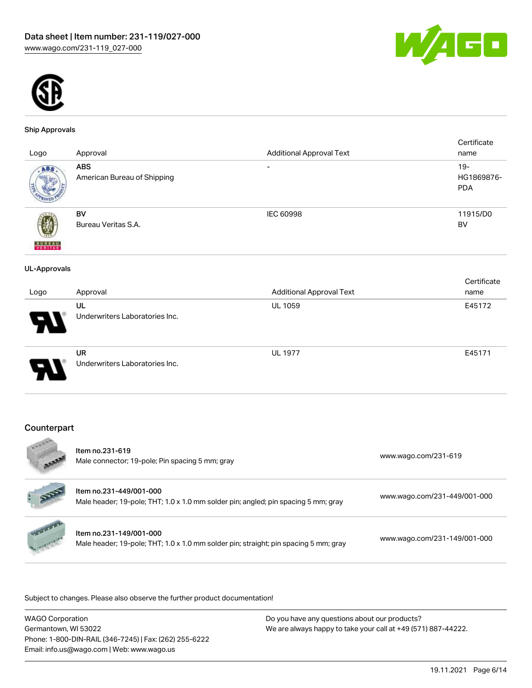



### Ship Approvals

| Logo                | Approval                                  | <b>Additional Approval Text</b> | Certificate<br>name                |
|---------------------|-------------------------------------------|---------------------------------|------------------------------------|
| ABS                 | <b>ABS</b><br>American Bureau of Shipping | $\overline{\phantom{0}}$        | $19 -$<br>HG1869876-<br><b>PDA</b> |
| <b>VERITAS</b>      | BV<br>Bureau Veritas S.A.                 | IEC 60998                       | 11915/D0<br><b>BV</b>              |
| <b>UL-Approvals</b> |                                           |                                 |                                    |
|                     |                                           |                                 | Certificate                        |
| Logo                | Approval                                  | <b>Additional Approval Text</b> | name                               |
|                     | UL                                        | UL 1059                         | E45172                             |
|                     | Underwriters Laboratories Inc.            |                                 |                                    |
|                     | UR                                        | <b>UL 1977</b>                  | E45171                             |
|                     | Underwriters Laboratories Inc.            |                                 |                                    |

### Counterpart  $\mathcal{A}$

| 46008            | Item no.231-619<br>Male connector; 19-pole; Pin spacing 5 mm; gray                                              | www.wago.com/231-619         |
|------------------|-----------------------------------------------------------------------------------------------------------------|------------------------------|
|                  | Item no.231-449/001-000<br>Male header; 19-pole; THT; 1.0 x 1.0 mm solder pin; angled; pin spacing 5 mm; gray   | www.wago.com/231-449/001-000 |
| <b>Harlanger</b> | Item no.231-149/001-000<br>Male header; 19-pole; THT; 1.0 x 1.0 mm solder pin; straight; pin spacing 5 mm; gray | www.wago.com/231-149/001-000 |

.<br>Subject to changes. Please also observe the further product documentation!

| <b>WAGO Corporation</b>                                |
|--------------------------------------------------------|
| Germantown, WI 53022                                   |
| Phone: 1-800-DIN-RAIL (346-7245)   Fax: (262) 255-6222 |
| Email: info.us@wago.com   Web: www.wago.us             |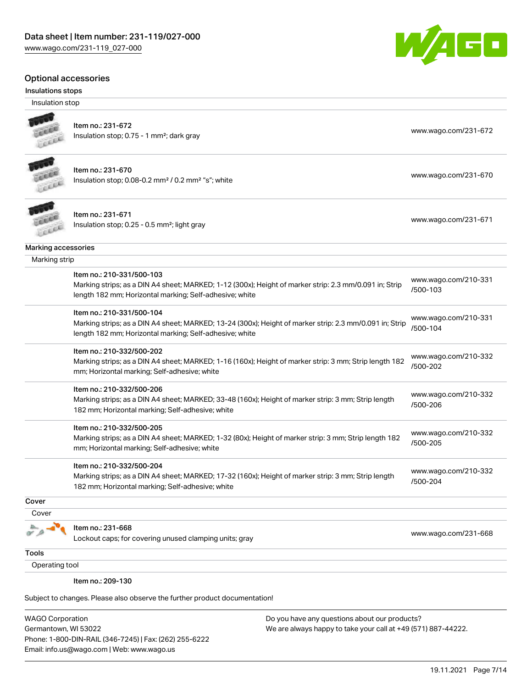### Optional accessories

### Insulations stops

Insulation stop



# Item no.: 231-672

Insulation stop; 0.75 - 1 mm<sup>2</sup>; dark gray [www.wago.com/231-672](http://www.wago.com/231-672) www.wago.com/231-672



### Item no.: 231-670 Insulation stop; 0.08-0.2 mm<sup>2</sup> / 0.2 mm<sup>2</sup> "s"; white [www.wago.com/231-670](http://www.wago.com/231-670) www.wago.com/231-670

Item no.: 231-671 Insulation stop; 0.25 - 0.5 mm²; light gray [www.wago.com/231-671](http://www.wago.com/231-671) www.wago.com/231-671 Leee

# Marking accessories

 Marking strip Item no.: 210-331/500-103

| 1101111011210-0011000-100                                                                              | www.wago.com/210-331 |
|--------------------------------------------------------------------------------------------------------|----------------------|
| Marking strips; as a DIN A4 sheet; MARKED; 1-12 (300x); Height of marker strip: 2.3 mm/0.091 in; Strip |                      |
| length 182 mm; Horizontal marking; Self-adhesive; white                                                | /500-103             |
|                                                                                                        |                      |

Item no.: 210-331/500-104 Marking strips; as a DIN A4 sheet; MARKED; 13-24 (300x); Height of marker strip: 2.3 mm/0.091 in; Strip length 182 mm; Horizontal marking; Self-adhesive; white [www.wago.com/210-331](http://www.wago.com/210-331/500-104) [/500-104](http://www.wago.com/210-331/500-104)

### Item no.: 210-332/500-202

Marking strips; as a DIN A4 sheet; MARKED; 1-16 (160x); Height of marker strip: 3 mm; Strip length 182 mm; Horizontal marking; Self-adhesive; white [www.wago.com/210-332](http://www.wago.com/210-332/500-202) [/500-202](http://www.wago.com/210-332/500-202)

### Item no.: 210-332/500-206

Marking strips; as a DIN A4 sheet; MARKED; 33-48 (160x); Height of marker strip: 3 mm; Strip length 182 mm; Horizontal marking; Self-adhesive; white [www.wago.com/210-332](http://www.wago.com/210-332/500-206) [/500-206](http://www.wago.com/210-332/500-206)

### Item no.: 210-332/500-205

Marking strips; as a DIN A4 sheet; MARKED; 1-32 (80x); Height of marker strip: 3 mm; Strip length 182 mm; Horizontal marking; Self-adhesive; white [www.wago.com/210-332](http://www.wago.com/210-332/500-205) [/500-205](http://www.wago.com/210-332/500-205)

### Item no.: 210-332/500-204

Marking strips; as a DIN A4 sheet; MARKED; 17-32 (160x); Height of marker strip: 3 mm; Strip length 182 mm; Horizontal marking; Self-adhesive; white

**Cover** 

 Cover 晶

### Item no.: 231-668

Lockout caps; for covering unused clamping units; gray [www.wago.com/231-668](http://www.wago.com/231-668)

[www.wago.com/210-332](http://www.wago.com/210-332/500-204)

[/500-204](http://www.wago.com/210-332/500-204)

**Tools** 

Operating tool

Item no.: 209-130

Subject to changes. Please also observe the further product documentation!

WAGO Corporation Germantown, WI 53022 Phone: 1-800-DIN-RAIL (346-7245) | Fax: (262) 255-6222 Email: info.us@wago.com | Web: www.wago.us

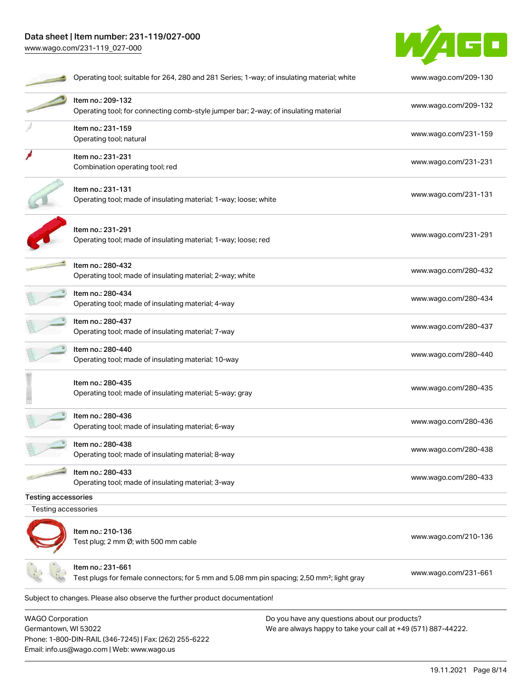# Data sheet | Item number: 231-119/027-000 [www.wago.com/231-119\\_027-000](http://www.wago.com/231-119_027-000)

Phone: 1-800-DIN-RAIL (346-7245) | Fax: (262) 255-6222

Email: info.us@wago.com | Web: www.wago.us



|                         | Operating tool; suitable for 264, 280 and 281 Series; 1-way; of insulating material; white                                 |                                                               | www.wago.com/209-130 |
|-------------------------|----------------------------------------------------------------------------------------------------------------------------|---------------------------------------------------------------|----------------------|
|                         | Item no.: 209-132<br>Operating tool; for connecting comb-style jumper bar; 2-way; of insulating material                   |                                                               | www.wago.com/209-132 |
|                         | Item no.: 231-159<br>Operating tool; natural                                                                               |                                                               | www.wago.com/231-159 |
|                         | Item no.: 231-231<br>Combination operating tool; red                                                                       |                                                               | www.wago.com/231-231 |
|                         | Item no.: 231-131<br>Operating tool; made of insulating material; 1-way; loose; white                                      |                                                               | www.wago.com/231-131 |
|                         | Item no.: 231-291<br>Operating tool; made of insulating material; 1-way; loose; red                                        |                                                               | www.wago.com/231-291 |
|                         | Item no.: 280-432<br>Operating tool; made of insulating material; 2-way; white                                             |                                                               | www.wago.com/280-432 |
|                         | Item no.: 280-434<br>Operating tool; made of insulating material; 4-way                                                    |                                                               | www.wago.com/280-434 |
|                         | Item no.: 280-437<br>Operating tool; made of insulating material; 7-way                                                    |                                                               | www.wago.com/280-437 |
|                         | Item no.: 280-440<br>Operating tool; made of insulating material; 10-way                                                   |                                                               | www.wago.com/280-440 |
|                         | Item no.: 280-435<br>Operating tool; made of insulating material; 5-way; gray                                              |                                                               | www.wago.com/280-435 |
|                         | Item no.: 280-436<br>Operating tool; made of insulating material; 6-way                                                    |                                                               | www.wago.com/280-436 |
|                         | Item no.: 280-438<br>Operating tool; made of insulating material; 8-way                                                    |                                                               | www.wago.com/280-438 |
|                         | Item no.: 280-433<br>Operating tool; made of insulating material; 3-way                                                    |                                                               | www.wago.com/280-433 |
| Testing accessories     |                                                                                                                            |                                                               |                      |
| Testing accessories     |                                                                                                                            |                                                               |                      |
|                         | Item no.: 210-136<br>Test plug; 2 mm Ø; with 500 mm cable                                                                  |                                                               | www.wago.com/210-136 |
|                         | Item no.: 231-661<br>Test plugs for female connectors; for 5 mm and 5.08 mm pin spacing; 2,50 mm <sup>2</sup> ; light gray |                                                               | www.wago.com/231-661 |
|                         | Subject to changes. Please also observe the further product documentation!                                                 |                                                               |                      |
| <b>WAGO Corporation</b> |                                                                                                                            | Do you have any questions about our products?                 |                      |
| Germantown, WI 53022    |                                                                                                                            | We are always happy to take your call at +49 (571) 887-44222. |                      |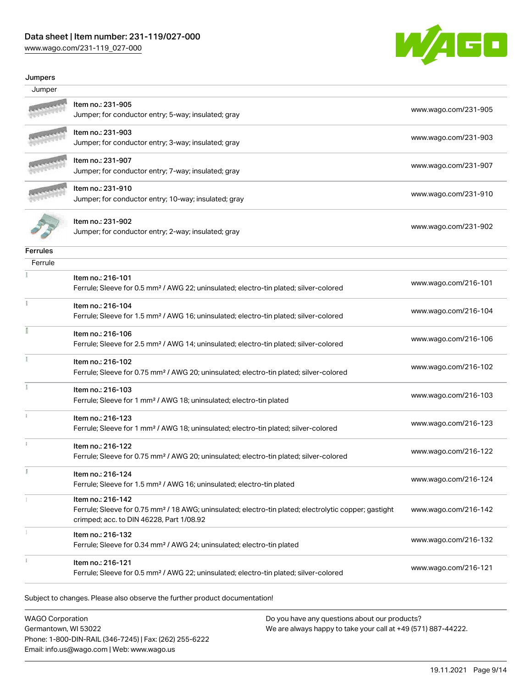# Data sheet | Item number: 231-119/027-000

[www.wago.com/231-119\\_027-000](http://www.wago.com/231-119_027-000)



### Jumpers

| Jumper   |                                                                                                                                                                                    |                      |
|----------|------------------------------------------------------------------------------------------------------------------------------------------------------------------------------------|----------------------|
|          | Item no.: 231-905<br>Jumper; for conductor entry; 5-way; insulated; gray                                                                                                           | www.wago.com/231-905 |
|          | Item no.: 231-903<br>Jumper; for conductor entry; 3-way; insulated; gray                                                                                                           | www.wago.com/231-903 |
|          | Item no.: 231-907<br>Jumper; for conductor entry; 7-way; insulated; gray                                                                                                           | www.wago.com/231-907 |
|          | Item no.: 231-910<br>Jumper; for conductor entry; 10-way; insulated; gray                                                                                                          | www.wago.com/231-910 |
|          | Item no.: 231-902<br>Jumper; for conductor entry; 2-way; insulated; gray                                                                                                           | www.wago.com/231-902 |
| Ferrules |                                                                                                                                                                                    |                      |
| Ferrule  |                                                                                                                                                                                    |                      |
|          | Item no.: 216-101<br>Ferrule; Sleeve for 0.5 mm <sup>2</sup> / AWG 22; uninsulated; electro-tin plated; silver-colored                                                             | www.wago.com/216-101 |
|          | Item no.: 216-104<br>Ferrule; Sleeve for 1.5 mm <sup>2</sup> / AWG 16; uninsulated; electro-tin plated; silver-colored                                                             | www.wago.com/216-104 |
|          | Item no.: 216-106<br>Ferrule; Sleeve for 2.5 mm <sup>2</sup> / AWG 14; uninsulated; electro-tin plated; silver-colored                                                             | www.wago.com/216-106 |
| ł        | Item no.: 216-102<br>Ferrule; Sleeve for 0.75 mm <sup>2</sup> / AWG 20; uninsulated; electro-tin plated; silver-colored                                                            | www.wago.com/216-102 |
|          | Item no.: 216-103<br>Ferrule; Sleeve for 1 mm <sup>2</sup> / AWG 18; uninsulated; electro-tin plated                                                                               | www.wago.com/216-103 |
|          | Item no.: 216-123<br>Ferrule; Sleeve for 1 mm <sup>2</sup> / AWG 18; uninsulated; electro-tin plated; silver-colored                                                               | www.wago.com/216-123 |
|          | Item no.: 216-122<br>Ferrule; Sleeve for 0.75 mm <sup>2</sup> / AWG 20; uninsulated; electro-tin plated; silver-colored                                                            | www.wago.com/216-122 |
| E        | Item no.: 216-124<br>Ferrule; Sleeve for 1.5 mm <sup>2</sup> / AWG 16; uninsulated; electro-tin plated                                                                             | www.wago.com/216-124 |
|          | Item no.: 216-142<br>Ferrule; Sleeve for 0.75 mm <sup>2</sup> / 18 AWG; uninsulated; electro-tin plated; electrolytic copper; gastight<br>crimped; acc. to DIN 46228, Part 1/08.92 | www.wago.com/216-142 |
|          | Item no.: 216-132<br>Ferrule; Sleeve for 0.34 mm <sup>2</sup> / AWG 24; uninsulated; electro-tin plated                                                                            | www.wago.com/216-132 |
|          | Item no.: 216-121<br>Ferrule; Sleeve for 0.5 mm <sup>2</sup> / AWG 22; uninsulated; electro-tin plated; silver-colored                                                             | www.wago.com/216-121 |
|          |                                                                                                                                                                                    |                      |

Subject to changes. Please also observe the further product documentation!

WAGO Corporation Germantown, WI 53022 Phone: 1-800-DIN-RAIL (346-7245) | Fax: (262) 255-6222 Email: info.us@wago.com | Web: www.wago.us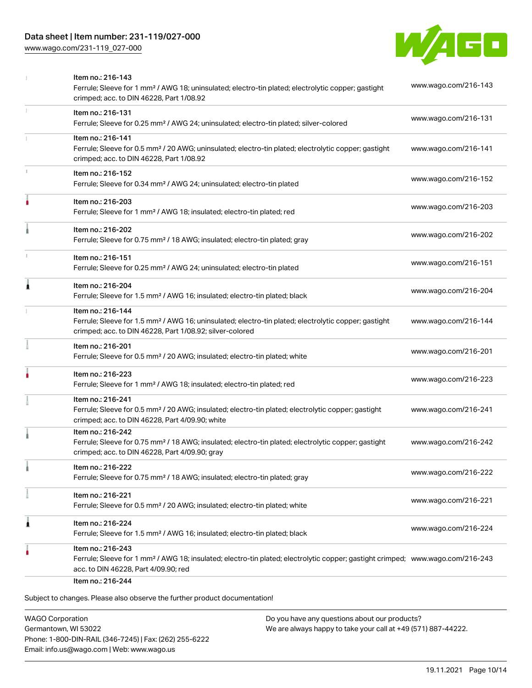# Data sheet | Item number: 231-119/027-000

[www.wago.com/231-119\\_027-000](http://www.wago.com/231-119_027-000)



|   | Item no.: 216-143<br>Ferrule; Sleeve for 1 mm <sup>2</sup> / AWG 18; uninsulated; electro-tin plated; electrolytic copper; gastight<br>crimped; acc. to DIN 46228, Part 1/08.92                         | www.wago.com/216-143 |
|---|---------------------------------------------------------------------------------------------------------------------------------------------------------------------------------------------------------|----------------------|
|   | Item no.: 216-131<br>Ferrule; Sleeve for 0.25 mm <sup>2</sup> / AWG 24; uninsulated; electro-tin plated; silver-colored                                                                                 | www.wago.com/216-131 |
|   | Item no.: 216-141<br>Ferrule; Sleeve for 0.5 mm <sup>2</sup> / 20 AWG; uninsulated; electro-tin plated; electrolytic copper; gastight<br>crimped; acc. to DIN 46228, Part 1/08.92                       | www.wago.com/216-141 |
|   | Item no.: 216-152<br>Ferrule; Sleeve for 0.34 mm <sup>2</sup> / AWG 24; uninsulated; electro-tin plated                                                                                                 | www.wago.com/216-152 |
|   | Item no.: 216-203<br>Ferrule; Sleeve for 1 mm <sup>2</sup> / AWG 18; insulated; electro-tin plated; red                                                                                                 | www.wago.com/216-203 |
|   | Item no.: 216-202<br>Ferrule; Sleeve for 0.75 mm <sup>2</sup> / 18 AWG; insulated; electro-tin plated; gray                                                                                             | www.wago.com/216-202 |
|   | Item no.: 216-151<br>Ferrule; Sleeve for 0.25 mm <sup>2</sup> / AWG 24; uninsulated; electro-tin plated                                                                                                 | www.wago.com/216-151 |
| 1 | Item no.: 216-204<br>Ferrule; Sleeve for 1.5 mm <sup>2</sup> / AWG 16; insulated; electro-tin plated; black                                                                                             | www.wago.com/216-204 |
|   | Item no.: 216-144<br>Ferrule; Sleeve for 1.5 mm <sup>2</sup> / AWG 16; uninsulated; electro-tin plated; electrolytic copper; gastight<br>crimped; acc. to DIN 46228, Part 1/08.92; silver-colored       | www.wago.com/216-144 |
|   | Item no.: 216-201<br>Ferrule; Sleeve for 0.5 mm <sup>2</sup> / 20 AWG; insulated; electro-tin plated; white                                                                                             | www.wago.com/216-201 |
|   | Item no.: 216-223<br>Ferrule; Sleeve for 1 mm <sup>2</sup> / AWG 18; insulated; electro-tin plated; red                                                                                                 | www.wago.com/216-223 |
|   | Item no.: 216-241<br>Ferrule; Sleeve for 0.5 mm <sup>2</sup> / 20 AWG; insulated; electro-tin plated; electrolytic copper; gastight<br>crimped; acc. to DIN 46228, Part 4/09.90; white                  | www.wago.com/216-241 |
|   | Item no.: 216-242<br>Ferrule; Sleeve for 0.75 mm <sup>2</sup> / 18 AWG; insulated; electro-tin plated; electrolytic copper; gastight<br>crimped; acc. to DIN 46228, Part 4/09.90; gray                  | www.wago.com/216-242 |
|   | Item no.: 216-222<br>Ferrule; Sleeve for 0.75 mm <sup>2</sup> / 18 AWG; insulated; electro-tin plated; gray                                                                                             | www.wago.com/216-222 |
|   | Item no.: 216-221<br>Ferrule; Sleeve for 0.5 mm <sup>2</sup> / 20 AWG; insulated; electro-tin plated; white                                                                                             | www.wago.com/216-221 |
| 1 | Item no.: 216-224<br>Ferrule; Sleeve for 1.5 mm <sup>2</sup> / AWG 16; insulated; electro-tin plated; black                                                                                             | www.wago.com/216-224 |
|   | Item no.: 216-243<br>Ferrule; Sleeve for 1 mm <sup>2</sup> / AWG 18; insulated; electro-tin plated; electrolytic copper; gastight crimped; www.wago.com/216-243<br>acc. to DIN 46228, Part 4/09.90; red |                      |
|   | Item no.: 216-244<br>Subject to changes. Please also observe the further product documentation!                                                                                                         |                      |

WAGO Corporation Germantown, WI 53022 Phone: 1-800-DIN-RAIL (346-7245) | Fax: (262) 255-6222 Email: info.us@wago.com | Web: www.wago.us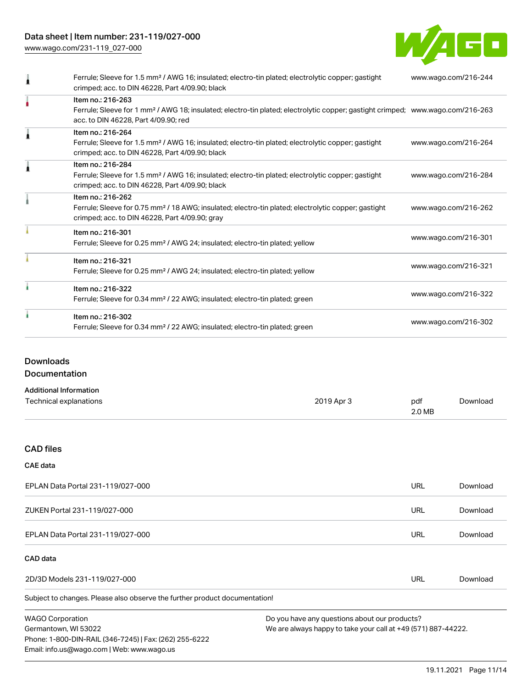# Data sheet | Item number: 231-119/027-000

[www.wago.com/231-119\\_027-000](http://www.wago.com/231-119_027-000)



| Ferrule; Sleeve for 1.5 mm <sup>2</sup> / AWG 16; insulated; electro-tin plated; electrolytic copper; gastight<br>crimped; acc. to DIN 46228, Part 4/09.90; black                                       | www.wago.com/216-244 |
|---------------------------------------------------------------------------------------------------------------------------------------------------------------------------------------------------------|----------------------|
| Item no.: 216-263<br>Ferrule; Sleeve for 1 mm <sup>2</sup> / AWG 18; insulated; electro-tin plated; electrolytic copper; gastight crimped; www.wago.com/216-263<br>acc. to DIN 46228, Part 4/09.90; red |                      |
| Item no.: 216-264<br>Ferrule; Sleeve for 1.5 mm <sup>2</sup> / AWG 16; insulated; electro-tin plated; electrolytic copper; gastight<br>crimped; acc. to DIN 46228, Part 4/09.90; black                  | www.wago.com/216-264 |
| Item no.: 216-284<br>Ferrule; Sleeve for 1.5 mm <sup>2</sup> / AWG 16; insulated; electro-tin plated; electrolytic copper; gastight<br>crimped; acc. to DIN 46228, Part 4/09.90; black                  | www.wago.com/216-284 |
| Item no.: 216-262<br>Ferrule; Sleeve for 0.75 mm <sup>2</sup> / 18 AWG; insulated; electro-tin plated; electrolytic copper; gastight<br>crimped; acc. to DIN 46228, Part 4/09.90; gray                  | www.wago.com/216-262 |
| Item no.: 216-301<br>Ferrule; Sleeve for 0.25 mm <sup>2</sup> / AWG 24; insulated; electro-tin plated; yellow                                                                                           | www.wago.com/216-301 |
| Item no.: 216-321<br>Ferrule; Sleeve for 0.25 mm <sup>2</sup> / AWG 24; insulated; electro-tin plated; yellow                                                                                           | www.wago.com/216-321 |
| Item no.: 216-322<br>Ferrule; Sleeve for 0.34 mm <sup>2</sup> / 22 AWG; insulated; electro-tin plated; green                                                                                            | www.wago.com/216-322 |
| Item no.: 216-302<br>Ferrule; Sleeve for 0.34 mm <sup>2</sup> / 22 AWG; insulated; electro-tin plated; green                                                                                            | www.wago.com/216-302 |

### Downloads

Documentation

| <b>Additional Information</b> |            |        |          |
|-------------------------------|------------|--------|----------|
| Technical explanations        | 2019 Apr 3 | pdf    | Download |
|                               |            | 2.0 MB |          |

# CAD files

### CAE data

| EPLAN Data Portal 231-119/027-000 | URL | Download |
|-----------------------------------|-----|----------|
| ZUKEN Portal 231-119/027-000      | URL | Download |
| EPLAN Data Portal 231-119/027-000 | URL | Download |

### CAD data

| 2D/3D Models 231-119/027-000 | URL | Downloac |
|------------------------------|-----|----------|
|------------------------------|-----|----------|

Subject to changes. Please also observe the further product documentation!

WAGO Corporation Germantown, WI 53022 Phone: 1-800-DIN-RAIL (346-7245) | Fax: (262) 255-6222 Email: info.us@wago.com | Web: www.wago.us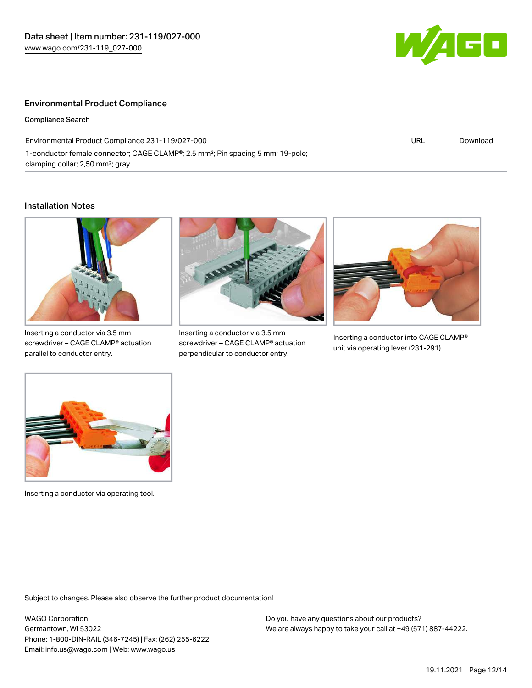

## Environmental Product Compliance

Compliance Search

Environmental Product Compliance 231-119/027-000 1-conductor female connector; CAGE CLAMP®; 2.5 mm²; Pin spacing 5 mm; 19-pole; clamping collar; 2,50 mm²; gray

URL [Download](https://www.wago.com/global/d/ComplianceLinkMediaContainer_231-119_027-000)

### Installation Notes



Inserting a conductor via 3.5 mm screwdriver – CAGE CLAMP® actuation parallel to conductor entry.



Inserting a conductor via 3.5 mm screwdriver – CAGE CLAMP® actuation perpendicular to conductor entry.



Inserting a conductor into CAGE CLAMP® unit via operating lever (231-291).



Inserting a conductor via operating tool.

Subject to changes. Please also observe the further product documentation!

WAGO Corporation Germantown, WI 53022 Phone: 1-800-DIN-RAIL (346-7245) | Fax: (262) 255-6222 Email: info.us@wago.com | Web: www.wago.us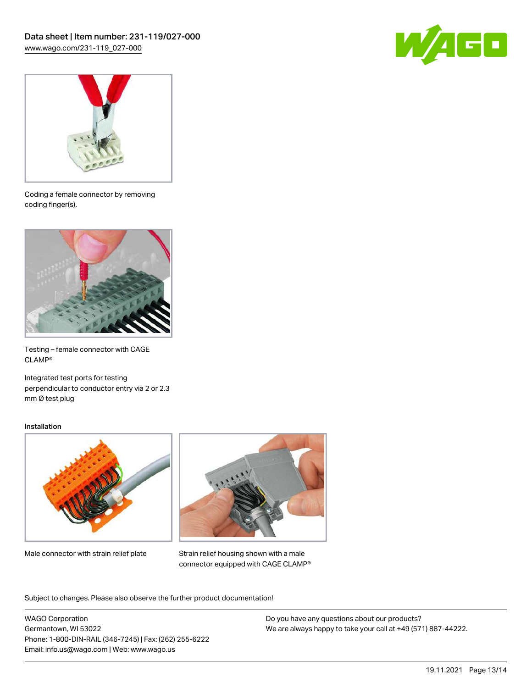



Coding a female connector by removing coding finger(s).



Testing – female connector with CAGE CLAMP®

Integrated test ports for testing perpendicular to conductor entry via 2 or 2.3 mm Ø test plug

### Installation



Male connector with strain relief plate



Strain relief housing shown with a male connector equipped with CAGE CLAMP®

Subject to changes. Please also observe the further product documentation!

WAGO Corporation Germantown, WI 53022 Phone: 1-800-DIN-RAIL (346-7245) | Fax: (262) 255-6222 Email: info.us@wago.com | Web: www.wago.us